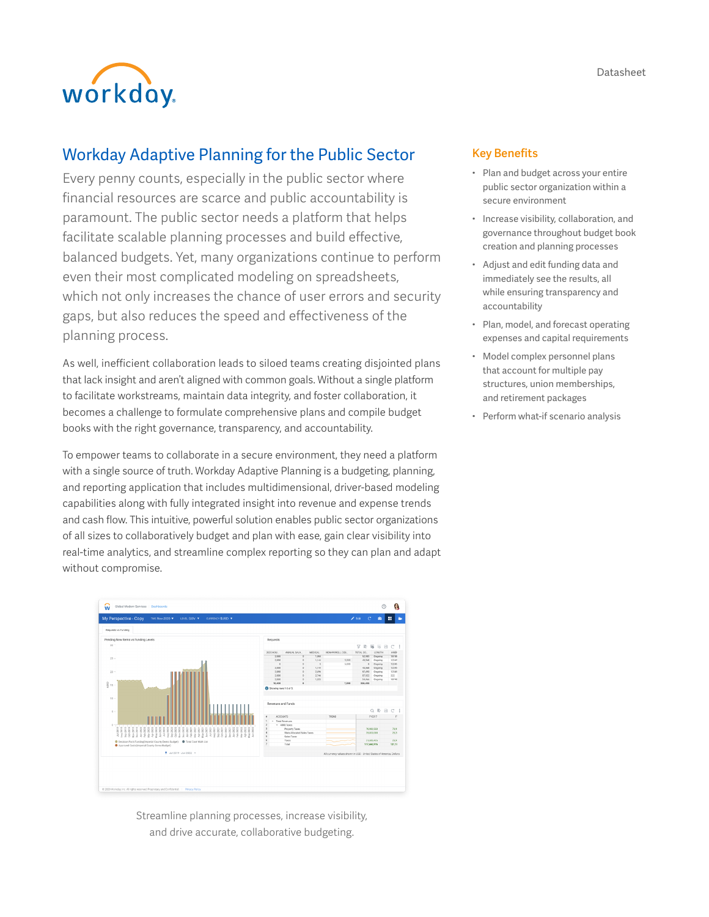



# Workday Adaptive Planning for the Public Sector

Every penny counts, especially in the public sector where financial resources are scarce and public accountability is paramount. The public sector needs a platform that helps facilitate scalable planning processes and build effective, balanced budgets. Yet, many organizations continue to perform even their most complicated modeling on spreadsheets, which not only increases the chance of user errors and security gaps, but also reduces the speed and effectiveness of the planning process.

As well, inefficient collaboration leads to siloed teams creating disjointed plans that lack insight and aren't aligned with common goals. Without a single platform to facilitate workstreams, maintain data integrity, and foster collaboration, it becomes a challenge to formulate comprehensive plans and compile budget books with the right governance, transparency, and accountability.

To empower teams to collaborate in a secure environment, they need a platform with a single source of truth. Workday Adaptive Planning is a budgeting, planning, and reporting application that includes multidimensional, driver-based modeling capabilities along with fully integrated insight into revenue and expense trends and cash flow. This intuitive, powerful solution enables public sector organizations of all sizes to collaboratively budget and plan with ease, gain clear visibility into real-time analytics, and streamline complex reporting so they can plan and adapt without compromise.



Streamline planning processes, increase visibility, and drive accurate, collaborative budgeting.

#### Key Benefits

- Plan and budget across your entire public sector organization within a secure environment
- Increase visibility, collaboration, and governance throughout budget book creation and planning processes
- Adjust and edit funding data and immediately see the results, all while ensuring transparency and accountability
- Plan, model, and forecast operating expenses and capital requirements
- Model complex personnel plans that account for multiple pay structures, union memberships, and retirement packages
- Perform what-if scenario analysis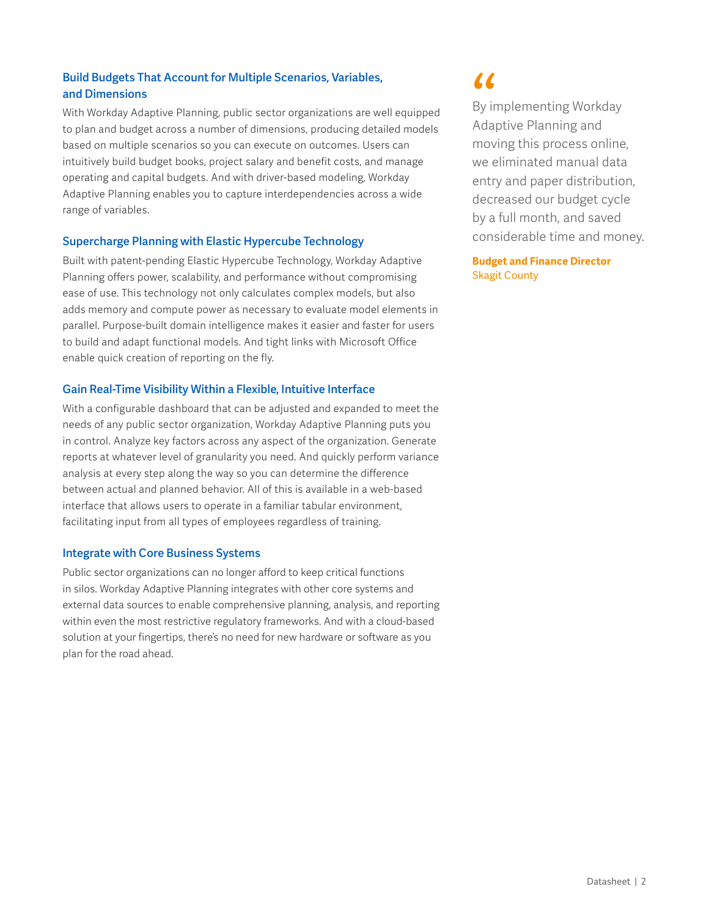# Build Budgets That Account for Multiple Scenarios, Variables, and Dimensions

With Workday Adaptive Planning, public sector organizations are well equipped to plan and budget across a number of dimensions, producing detailed models based on multiple scenarios so you can execute on outcomes. Users can intuitively build budget books, project salary and benefit costs, and manage operating and capital budgets. And with driver-based modeling, Workday Adaptive Planning enables you to capture interdependencies across a wide range of variables.

# Supercharge Planning with Elastic Hypercube Technology

Built with patent-pending Elastic Hypercube Technology, Workday Adaptive Planning offers power, scalability, and performance without compromising ease of use. This technology not only calculates complex models, but also adds memory and compute power as necessary to evaluate model elements in parallel. Purpose-built domain intelligence makes it easier and faster for users to build and adapt functional models. And tight links with Microsoft Office enable quick creation of reporting on the fly.

# Gain Real-Time Visibility Within a Flexible, Intuitive Interface

With a configurable dashboard that can be adjusted and expanded to meet the needs of any public sector organization, Workday Adaptive Planning puts you in control. Analyze key factors across any aspect of the organization. Generate reports at whatever level of granularity you need. And quickly perform variance analysis at every step along the way so you can determine the difference between actual and planned behavior. All of this is available in a web-based interface that allows users to operate in a familiar tabular environment, facilitating input from all types of employees regardless of training.

## Integrate with Core Business Systems

Public sector organizations can no longer afford to keep critical functions in silos. Workday Adaptive Planning integrates with other core systems and external data sources to enable comprehensive planning, analysis, and reporting within even the most restrictive regulatory frameworks. And with a cloud-based solution at your fingertips, there's no need for new hardware or software as you plan for the road ahead.

66<br>By ir<br>Ada<sub>l</sub> By implementing Workday Adaptive Planning and moving this process online, we eliminated manual data entry and paper distribution, decreased our budget cycle by a full month, and saved considerable time and money.

### **Budget and Finance Director** Skagit County